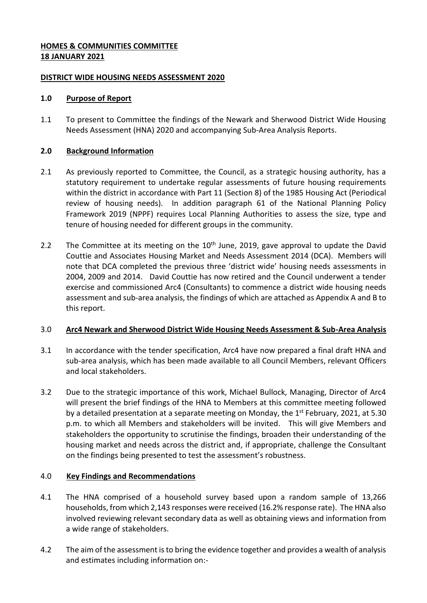# **HOMES & COMMUNITIES COMMITTEE 18 JANUARY 2021**

## **DISTRICT WIDE HOUSING NEEDS ASSESSMENT 2020**

# **1.0 Purpose of Report**

1.1 To present to Committee the findings of the Newark and Sherwood District Wide Housing Needs Assessment (HNA) 2020 and accompanying Sub-Area Analysis Reports.

# **2.0 Background Information**

- 2.1 As previously reported to Committee, the Council, as a strategic housing authority, has a statutory requirement to undertake regular assessments of future housing requirements within the district in accordance with Part 11 (Section 8) of the 1985 Housing Act (Periodical review of housing needs). In addition paragraph 61 of the National Planning Policy Framework 2019 (NPPF) requires Local Planning Authorities to assess the size, type and tenure of housing needed for different groups in the community.
- 2.2 The Committee at its meeting on the  $10<sup>th</sup>$  June, 2019, gave approval to update the David Couttie and Associates Housing Market and Needs Assessment 2014 (DCA). Members will note that DCA completed the previous three 'district wide' housing needs assessments in 2004, 2009 and 2014. David Couttie has now retired and the Council underwent a tender exercise and commissioned Arc4 (Consultants) to commence a district wide housing needs assessment and sub-area analysis, the findings of which are attached as Appendix A and B to this report.

# 3.0 **Arc4 Newark and Sherwood District Wide Housing Needs Assessment & Sub-Area Analysis**

- 3.1 In accordance with the tender specification, Arc4 have now prepared a final draft HNA and sub-area analysis, which has been made available to all Council Members, relevant Officers and local stakeholders.
- 3.2 Due to the strategic importance of this work, Michael Bullock, Managing, Director of Arc4 will present the brief findings of the HNA to Members at this committee meeting followed by a detailed presentation at a separate meeting on Monday, the  $1<sup>st</sup>$  February, 2021, at 5.30 p.m. to which all Members and stakeholders will be invited. This will give Members and stakeholders the opportunity to scrutinise the findings, broaden their understanding of the housing market and needs across the district and, if appropriate, challenge the Consultant on the findings being presented to test the assessment's robustness.

# 4.0 **Key Findings and Recommendations**

- 4.1 The HNA comprised of a household survey based upon a random sample of 13,266 households, from which 2,143 responses were received (16.2% response rate). The HNA also involved reviewing relevant secondary data as well as obtaining views and information from a wide range of stakeholders.
- 4.2 The aim of the assessment is to bring the evidence together and provides a wealth of analysis and estimates including information on:-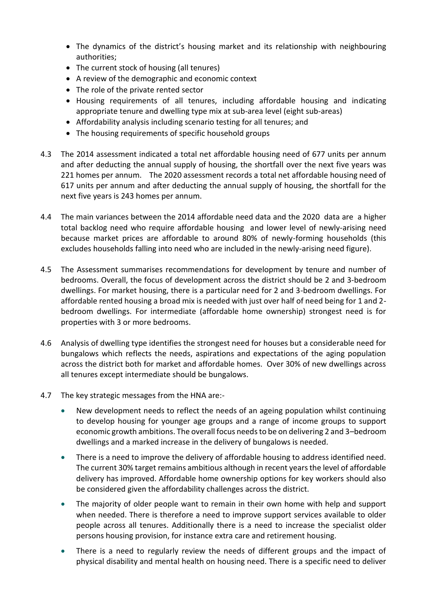- The dynamics of the district's housing market and its relationship with neighbouring authorities;
- The current stock of housing (all tenures)
- A review of the demographic and economic context
- The role of the private rented sector
- Housing requirements of all tenures, including affordable housing and indicating appropriate tenure and dwelling type mix at sub-area level (eight sub-areas)
- Affordability analysis including scenario testing for all tenures; and
- The housing requirements of specific household groups
- 4.3 The 2014 assessment indicated a total net affordable housing need of 677 units per annum and after deducting the annual supply of housing, the shortfall over the next five years was 221 homes per annum. The 2020 assessment records a total net affordable housing need of 617 units per annum and after deducting the annual supply of housing, the shortfall for the next five years is 243 homes per annum.
- 4.4 The main variances between the 2014 affordable need data and the 2020 data are a higher total backlog need who require affordable housing and lower level of newly-arising need because market prices are affordable to around 80% of newly-forming households (this excludes households falling into need who are included in the newly-arising need figure).
- 4.5 The Assessment summarises recommendations for development by tenure and number of bedrooms. Overall, the focus of development across the district should be 2 and 3-bedroom dwellings. For market housing, there is a particular need for 2 and 3-bedroom dwellings. For affordable rented housing a broad mix is needed with just over half of need being for 1 and 2 bedroom dwellings. For intermediate (affordable home ownership) strongest need is for properties with 3 or more bedrooms.
- 4.6 Analysis of dwelling type identifies the strongest need for houses but a considerable need for bungalows which reflects the needs, aspirations and expectations of the aging population across the district both for market and affordable homes. Over 30% of new dwellings across all tenures except intermediate should be bungalows.
- 4.7 The key strategic messages from the HNA are:-
	- New development needs to reflect the needs of an ageing population whilst continuing to develop housing for younger age groups and a range of income groups to support economic growth ambitions. The overall focus needs to be on delivering 2 and 3–bedroom dwellings and a marked increase in the delivery of bungalows is needed.
	- There is a need to improve the delivery of affordable housing to address identified need. The current 30% target remains ambitious although in recent years the level of affordable delivery has improved. Affordable home ownership options for key workers should also be considered given the affordability challenges across the district.
	- The majority of older people want to remain in their own home with help and support when needed. There is therefore a need to improve support services available to older people across all tenures. Additionally there is a need to increase the specialist older persons housing provision, for instance extra care and retirement housing.
	- There is a need to regularly review the needs of different groups and the impact of physical disability and mental health on housing need. There is a specific need to deliver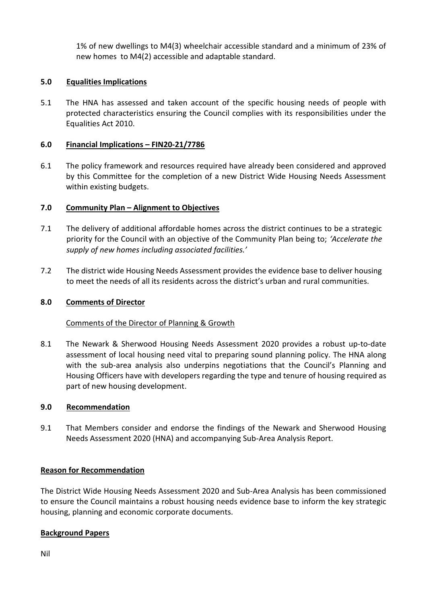1% of new dwellings to M4(3) wheelchair accessible standard and a minimum of 23% of new homes to M4(2) accessible and adaptable standard.

## **5.0 Equalities Implications**

5.1 The HNA has assessed and taken account of the specific housing needs of people with protected characteristics ensuring the Council complies with its responsibilities under the Equalities Act 2010.

## **6.0 Financial Implications – FIN20-21/7786**

6.1 The policy framework and resources required have already been considered and approved by this Committee for the completion of a new District Wide Housing Needs Assessment within existing budgets.

# **7.0 Community Plan – Alignment to Objectives**

- 7.1 The delivery of additional affordable homes across the district continues to be a strategic priority for the Council with an objective of the Community Plan being to; *'Accelerate the supply of new homes including associated facilities.'*
- 7.2 The district wide Housing Needs Assessment provides the evidence base to deliver housing to meet the needs of all its residents across the district's urban and rural communities.

### **8.0 Comments of Director**

### Comments of the Director of Planning & Growth

8.1 The Newark & Sherwood Housing Needs Assessment 2020 provides a robust up-to-date assessment of local housing need vital to preparing sound planning policy. The HNA along with the sub-area analysis also underpins negotiations that the Council's Planning and Housing Officers have with developers regarding the type and tenure of housing required as part of new housing development.

### **9.0 Recommendation**

9.1 That Members consider and endorse the findings of the Newark and Sherwood Housing Needs Assessment 2020 (HNA) and accompanying Sub-Area Analysis Report.

### **Reason for Recommendation**

The District Wide Housing Needs Assessment 2020 and Sub-Area Analysis has been commissioned to ensure the Council maintains a robust housing needs evidence base to inform the key strategic housing, planning and economic corporate documents.

### **Background Papers**